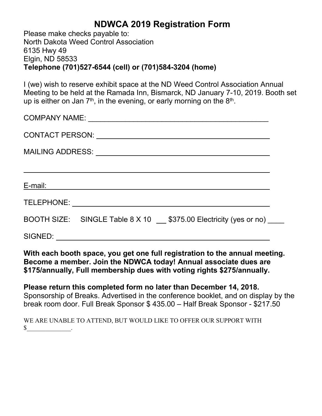## **NDWCA 2019 Registration Form**

Please make checks payable to: North Dakota Weed Control Association 6135 Hwy 49 Elgin, ND 58533 **Telephone (701)527-6544 (cell) or (701)584-3204 (home)**

I (we) wish to reserve exhibit space at the ND Weed Control Association Annual Meeting to be held at the Ramada Inn, Bismarck, ND January 7-10, 2019. Booth set up is either on Jan 7 $^{\text{th}}$ , in the evening, or early morning on the 8 $^{\text{th}}$ . .

| <u>E-mail: Entre and the second control of the second control of the second control of the second control of</u> |  |
|------------------------------------------------------------------------------------------------------------------|--|
|                                                                                                                  |  |
| BOOTH SIZE: SINGLE Table 8 X 10 16 \$375.00 Electricity (yes or no)                                              |  |
|                                                                                                                  |  |

**With each booth space, you get one full registration to the annual meeting. Become a member. Join the NDWCA today! Annual associate dues are \$175/annually, Full membership dues with voting rights \$275/annually.**

**Please return this completed form no later than December 14, 2018.** Sponsorship of Breaks. Advertised in the conference booklet, and on display by the break room door. Full Break Sponsor \$ 435.00 – Half Break Sponsor - \$217.50

WE ARE UNABLE TO ATTEND, BUT WOULD LIKE TO OFFER OUR SUPPORT WITH  $\frac{\sqrt{2}}{2}$ .